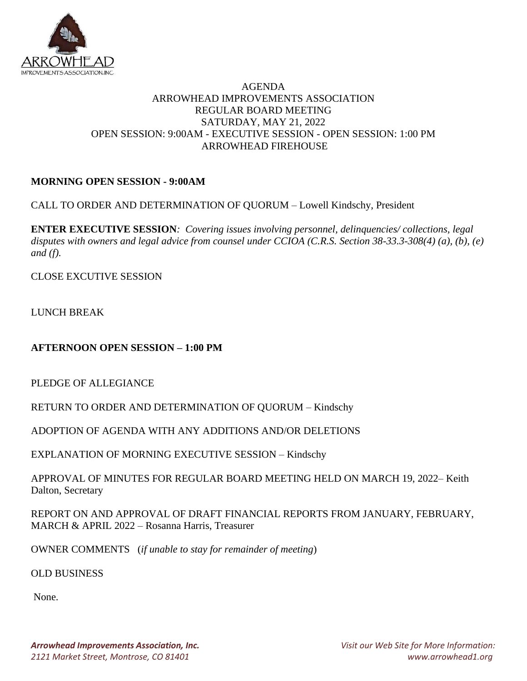

## AGENDA ARROWHEAD IMPROVEMENTS ASSOCIATION REGULAR BOARD MEETING SATURDAY, MAY 21, 2022 OPEN SESSION: 9:00AM - EXECUTIVE SESSION - OPEN SESSION: 1:00 PM ARROWHEAD FIREHOUSE

# **MORNING OPEN SESSION - 9:00AM**

CALL TO ORDER AND DETERMINATION OF QUORUM – Lowell Kindschy, President

**ENTER EXECUTIVE SESSION***: Covering issues involving personnel, delinquencies/ collections, legal disputes with owners and legal advice from counsel under CCIOA (C.R.S. Section 38-33.3-308(4) (a), (b), (e) and (f).* 

CLOSE EXCUTIVE SESSION

LUNCH BREAK

**AFTERNOON OPEN SESSION – 1:00 PM**

PLEDGE OF ALLEGIANCE

RETURN TO ORDER AND DETERMINATION OF QUORUM – Kindschy

ADOPTION OF AGENDA WITH ANY ADDITIONS AND/OR DELETIONS

EXPLANATION OF MORNING EXECUTIVE SESSION – Kindschy

APPROVAL OF MINUTES FOR REGULAR BOARD MEETING HELD ON MARCH 19, 2022– Keith Dalton, Secretary

REPORT ON AND APPROVAL OF DRAFT FINANCIAL REPORTS FROM JANUARY, FEBRUARY, MARCH & APRIL 2022 – Rosanna Harris, Treasurer

OWNER COMMENTS (*if unable to stay for remainder of meeting*)

OLD BUSINESS

None.